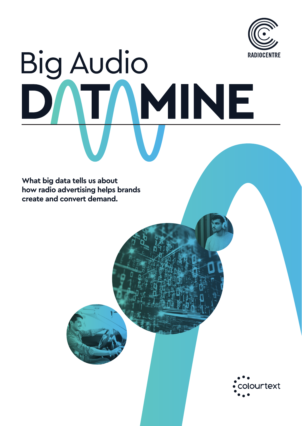

# **Big Audio** IMINE  $\blacksquare$

**What big data tells us about how radio advertising helps brands create and convert demand.**

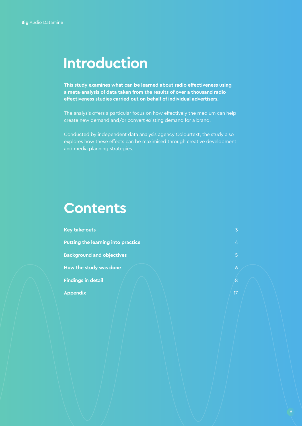### **Introduction**

**This study examines what can be learned about radio effectiveness using a meta-analysis of data taken from the results of over a thousand radio effectiveness studies carried out on behalf of individual advertisers.** 

The analysis offers a particular focus on how effectively the medium can help create new demand and/or convert existing demand for a brand.

Conducted by independent data analysis agency Colourtext, the study also explores how these effects can be maximised through creative development and media planning strategies.

### **Contents**

| <b>Key take-outs</b>                      |  |
|-------------------------------------------|--|
| <b>Putting the learning into practice</b> |  |
| <b>Background and objectives</b>          |  |
| How the study was done                    |  |
| <b>Findings in detail</b>                 |  |
| <b>Appendix</b>                           |  |
|                                           |  |

8

17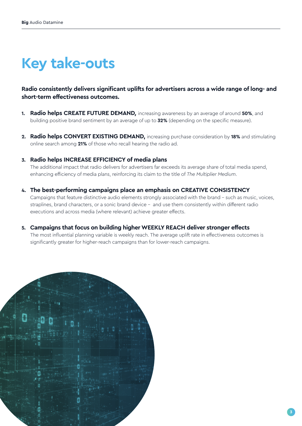# **Key take-outs**

#### **Radio consistently delivers significant uplifts for advertisers across a wide range of long- and short-term effectiveness outcomes.**

- **1. Radio helps CREATE FUTURE DEMAND***,* increasing awareness by an average of around **50%**, and building positive brand sentiment by an average of up to **32%** (depending on the specific measure).
- **2. Radio helps CONVERT EXISTING DEMAND,** increasing purchase consideration by **18%** and stimulating online search among **21%** of those who recall hearing the radio ad.

#### **3. Radio helps INCREASE EFFICIENCY of media plans**

 The additional impact that radio delivers for advertisers far exceeds its average share of total media spend, enhancing efficiency of media plans, reinforcing its claim to the title of *The Multiplier Medium*.

**4. The best-performing campaigns place an emphasis on CREATIVE CONSISTENCY** Campaigns that feature distinctive audio elements strongly associated with the brand – such as music, voices, straplines, brand characters, or a sonic brand device – and use them consistently within different radio executions and across media (where relevant) achieve greater effects.

#### **5. Campaigns that focus on building higher WEEKLY REACH deliver stronger effects**

 The most influential planning variable is weekly reach. The average uplift rate in effectiveness outcomes is significantly greater for higher-reach campaigns than for lower-reach campaigns.

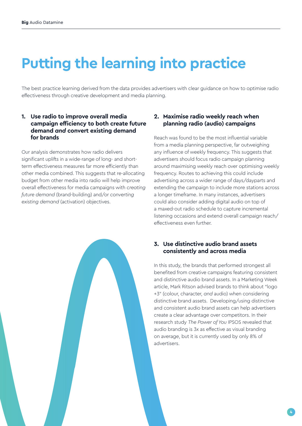# **Putting the learning into practice**

The best practice learning derived from the data provides advertisers with clear guidance on how to optimise radio effectiveness through creative development and media planning.

#### **1. Use radio to improve overall media campaign efficiency to both create future demand** *and* **convert existing demand for brands**

Our analysis demonstrates how radio delivers significant uplifts in a wide-range of long- and shortterm effectiveness measures far more efficiently than other media combined. This suggests that re-allocating budget from other media into radio will help improve overall effectiveness for media campaigns with *creating future demand* (brand-building) and/or *converting existing demand* (activation) objectives.

#### **2. Maximise radio weekly reach when planning radio (audio) campaigns**

Reach was found to be the most influential variable from a media planning perspective, far outweighing any influence of weekly frequency. This suggests that advertisers should focus radio campaign planning around maximising weekly reach over optimising weekly frequency. Routes to achieving this could include advertising across a wider range of days/dayparts and extending the campaign to include more stations across a longer timeframe. In many instances, advertisers could also consider adding digital audio on top of a maxed-out radio schedule to capture incremental listening occasions and extend overall campaign reach/ effectiveness even further.

#### **3. Use distinctive audio brand assets consistently and across media**

In this study, the brands that performed strongest all benefited from creative campaigns featuring consistent and distinctive audio brand assets. In a Marketing Week article, Mark Ritson advised brands to think about "logo +3" (colour, character, *and* audio) when considering distinctive brand assets. Developing/using distinctive and consistent audio brand assets can help advertisers create a clear advantage over competitors. In their research study *The Power of You* IPSOS revealed that audio branding is 3x as effective as visual branding on average, but it is currently used by only 8% of advertisers.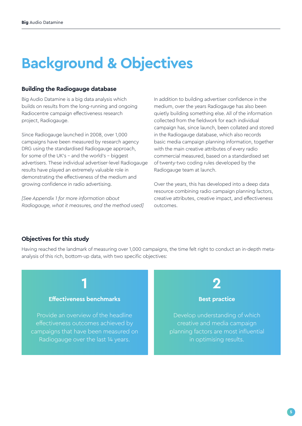# **Background & Objectives**

#### **Building the Radiogauge database**

Big Audio Datamine is a big data analysis which builds on results from the long-running and ongoing Radiocentre campaign effectiveness research project, Radiogauge.

Since Radiogauge launched in 2008, over 1,000 campaigns have been measured by research agency DRG using the standardised Radiogauge approach, for some of the UK's – and the world's – biggest advertisers. These individual advertiser-level Radiogauge results have played an extremely valuable role in demonstrating the effectiveness of the medium and growing confidence in radio advertising.

*[See Appendix 1 for more information about Radiogauge, what it measures, and the method used]* In addition to building advertiser confidence in the medium, over the years Radiogauge has also been quietly building something else. All of the information collected from the fieldwork for each individual campaign has, since launch, been collated and stored in the Radiogauge database, which also records basic media campaign planning information, together with the main creative attributes of every radio commercial measured, based on a standardised set of twenty-two coding rules developed by the Radiogauge team at launch.

Over the years, this has developed into a deep data resource combining radio campaign planning factors, creative attributes, creative impact, and effectiveness outcomes.

#### **Objectives for this study**

Having reached the landmark of measuring over 1,000 campaigns, the time felt right to conduct an in-depth metaanalysis of this rich, bottom-up data, with two specific objectives:

#### **Effectiveness benchmarks**

**1**

Provide an overview of the headline effectiveness outcomes achieved by campaigns that have been measured on Radiogauge over the last 14 years.



#### **Best practice**

Develop understanding of which creative and media campaign planning factors are most influential in optimising results.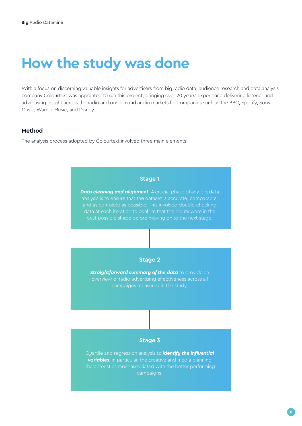### **How the study was done**

With a focus on discerning valuable insights for advertisers from big radio data; audience research and data analysis company Colourtext was appointed to run this project, bringing over 20 years' experience delivering listener and advertising insight across the radio and on-demand audio markets for companies such as the BBC, Spotify, Sony Music, Warner Music, and Disney.

#### **Method**

The analysis process adopted by Colourtext involved three main elements:

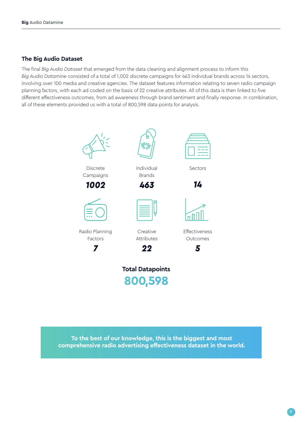#### **The Big Audio Dataset**

The final *Big Audio Dataset* that emerged from the data cleaning and alignment process to inform this *Big Audio Datamine* consisted of a total of 1,002 discrete campaigns for 463 individual brands across 14 sectors, involving over 100 media and creative agencies. The dataset features information relating to seven radio campaign planning factors, with each ad coded on the basis of 22 creative attributes. All of this data is then linked to five different effectiveness outcomes, from ad awareness through brand sentiment and finally response. In combination, all of these elements provided us with a total of 800,598 data points for analysis.



**To the best of our knowledge, this is the biggest and most comprehensive radio advertising effectiveness dataset in the world.**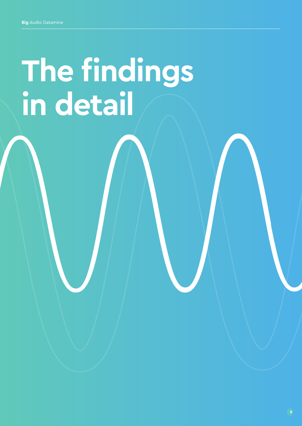# **The findings in detail**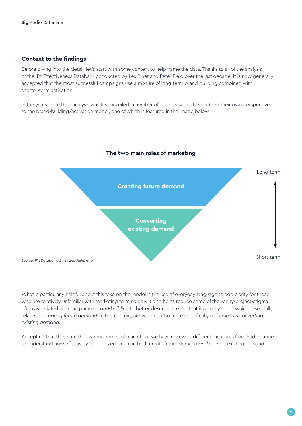#### **Context to the findings**

Before diving into the detail, let's start with some context to help frame the data. Thanks to all of the analysis of the IPA Effectiveness Databank conducted by Les Binet and Peter Field over the last decade, it is now generally accepted that the most successful campaigns use a mixture of long-term brand-building combined with shorter-term activation.

In the years since their analysis was first unveiled, a number of industry sages have added their own perspective to the brand-building/activation model, one of which is featured in the image below.



#### **The two main roles of marketing**

What is particularly helpful about this take on the model is the use of everyday language to add clarity for those who are relatively unfamiliar with marketing terminology. It also helps reduce some of the vanity-project-stigma often associated with the phrase *brand-building* to better describe the job that it actually does, which essentially relates to *creating future demand*. In this context, activation is also more specifically re-framed as *converting existing demand*.

Accepting that these are the two main roles of marketing, we have reviewed different measures from Radiogauge to understand how effectively radio advertising can both create future demand *and* convert existing demand.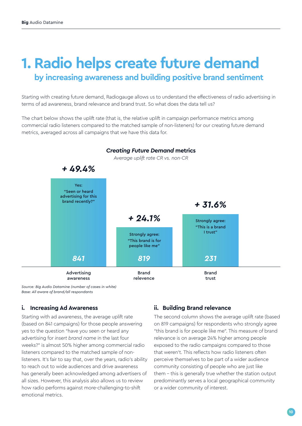### **1. Radio helps create future demand by increasing awareness and building positive brand sentiment**

Starting with creating future demand, Radiogauge allows us to understand the effectiveness of radio advertising in terms of ad awareness, brand relevance and brand trust. So what does the data tell us?

The chart below shows the uplift rate (that is, the relative uplift in campaign performance metrics among commercial radio listeners compared to the matched sample of non-listeners) for our creating future demand metrics, averaged across all campaigns that we have this data for.



*Source: Big Audio Datamine (number of cases in white) Base: All aware of brand/all respondants*

#### **i. Increasing Ad Awareness**

Starting with ad awareness, the average uplift rate (based on 841 campaigns) for those people answering yes to the question "have you seen or heard any advertising for *insert brand name* in the last four weeks?" is almost 50% higher among commercial radio listeners compared to the matched sample of nonlisteners. It's fair to say that, over the years, radio's ability to reach out to wide audiences and drive awareness has generally been acknowledged among advertisers of all sizes. However, this analysis also allows us to review how radio performs against more-challenging-to-shift emotional metrics.

#### **ii. Building Brand relevance**

The second column shows the average uplift rate (based on 819 campaigns) for respondents who strongly agree "this brand is for people like me". This measure of brand relevance is on average 24% higher among people exposed to the radio campaigns compared to those that weren't. This reflects how radio listeners often perceive themselves to be part of a wider audience community consisting of people who are just like them – this is generally true whether the station output predominantly serves a local geographical community or a wider community of interest.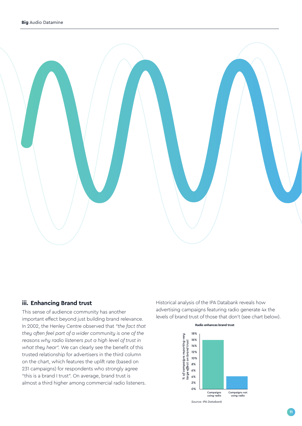

#### **iii. Enhancing Brand trust**

This sense of audience community has another important effect beyond just building brand relevance. In 2002, the Henley Centre observed that *"the fact that they often feel part of a wider community is one of the reasons why radio listeners put a high level of trust in what they hear".* We can clearly see the benefit of this trusted relationship for advertisers in the third column on the chart, which features the uplift rate (based on 231 campaigns) for respondents who strongly agree "this is a brand I trust". On average, brand trust is almost a third higher among commercial radio listeners.

Historical analysis of the IPA Databank reveals how advertising campaigns featuring radio generate 4x the levels of brand trust of those that don't (see chart below).

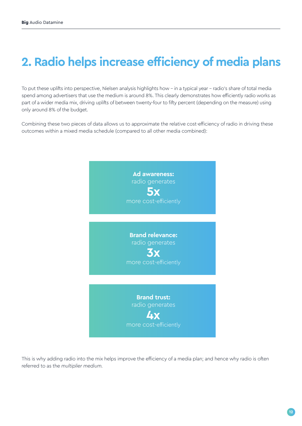### **2. Radio helps increase efficiency of media plans**

To put these uplifts into perspective, Nielsen analysis highlights how – in a typical year – radio's share of total media spend among advertisers that use the medium is around 8%. This clearly demonstrates how efficiently radio works as part of a wider media mix, driving uplifts of between twenty-four to fifty percent (depending on the measure) using only around 8% of the budget.

Combining these two pieces of data allows us to approximate the relative cost-efficiency of radio in driving these outcomes within a mixed media schedule (compared to all other media combined):



This is why adding radio into the mix helps improve the efficiency of a media plan; and hence why radio is often referred to as the *multiplier medium.*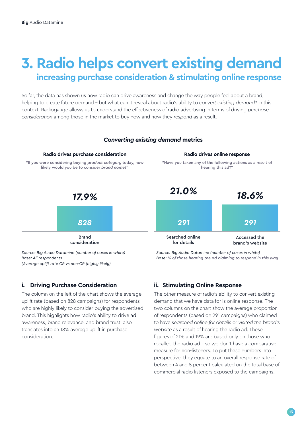### **3. Radio helps convert existing demand increasing purchase consideration & stimulating online response**

So far, the data has shown us how radio can drive awareness and change the way people feel about a brand, helping to create future demand – but what can it reveal about radio's ability to *convert existing demand*? In this context, Radiogauge allows us to understand the effectiveness of radio advertising in terms of driving *purchase consideration* among those in the market to buy now and how they *respond* as a result.



*(Average uplift rate CR vs non-CR (highly likely)*

#### **i. Driving Purchase Consideration**

The column on the left of the chart shows the average uplift rate (based on 828 campaigns) for respondents who are highly likely to consider buying the advertised brand. This highlights how radio's ability to drive ad awareness, brand relevance, and brand trust, also translates into an 18% average uplift in purchase consideration.

#### **ii. Stimulating Online Response**

The other measure of radio's ability to convert existing demand that we have data for is online response. The two columns on the chart show the average proportion of respondents (based on 291 campaigns) who claimed to have *searched online for details* or *visited the brand's website* as a result of hearing the radio ad. These figures of 21% and 19% are based only on those who recalled the radio ad – so we don't have a comparative measure for non-listeners. To put these numbers into perspective, they equate to an overall response rate of between 4 and 5 percent calculated on the total base of commercial radio listeners exposed to the campaigns.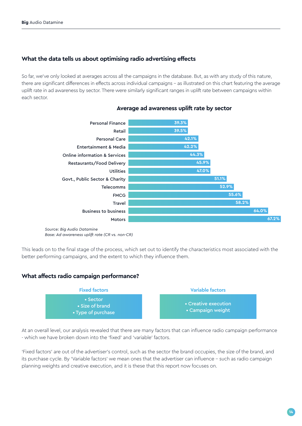#### **What the data tells us about optimising radio advertising effects**

So far, we've only looked at averages across all the campaigns in the database. But, as with any study of this nature, there are significant differences in effects across individual campaigns - as illustrated on this chart featuring the average uplift rate in ad awareness by sector. There were similarly significant ranges in uplift rate between campaigns within each sector.



#### **Average ad awareness uplift rate by sector**

*Base: Ad awareness uplift rate (CR vs. non-CR)*

This leads on to the final stage of the process, which set out to identify the characteristics most associated with the better performing campaigns, and the extent to which they influence them.

#### **What affects radio campaign performance?**



At an overall level, our analysis revealed that there are many factors that can influence radio campaign performance - which we have broken down into the 'fixed' and 'variable' factors.

'Fixed factors' are out of the advertiser's control, such as the sector the brand occupies, the size of the brand, and its purchase cycle. By 'Variable factors' we mean ones that the advertiser can influence - such as radio campaign planning weights and creative execution, and it is these that this report now focuses on.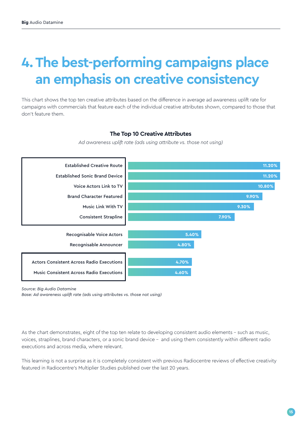## **4. The best-performing campaigns place an emphasis on creative consistency**

This chart shows the top ten creative attributes based on the difference in average ad awareness uplift rate for campaigns with commercials that feature each of the individual creative attributes shown, compared to those that don't feature them.

#### **The Top 10 Creative Attributes**

*Ad awareness uplift rate (ads using attribute vs. those not using)*



*Source: Big Audio Datamine*

*Base: Ad awareness uplift rate (ads using attributes vs. those not using)*

As the chart demonstrates, eight of the top ten relate to developing consistent audio elements – such as music, voices, straplines, brand characters, or a sonic brand device – and using them consistently within different radio executions and across media, where relevant.

This learning is not a surprise as it is completely consistent with previous Radiocentre reviews of effective creativity featured in Radiocentre's Multiplier Studies published over the last 20 years.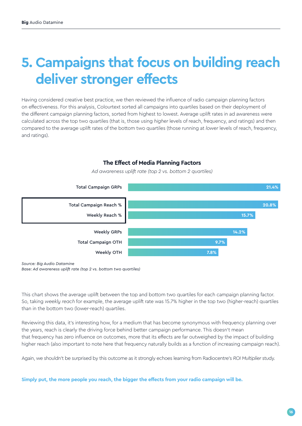### **5. Campaigns that focus on building reach deliver stronger effects**

Having considered creative best practice, we then reviewed the influence of radio campaign planning factors on effectiveness. For this analysis, Colourtext sorted all campaigns into quartiles based on their deployment of the different campaign planning factors, sorted from highest to lowest. Average uplift rates in ad awareness were calculated across the top two quartiles (that is, those using *higher* levels of reach, frequency, and ratings) and then compared to the average uplift rates of the bottom two quartiles (those running at *lower* levels of reach, frequency, and ratings).



**The Effect of Media Planning Factors** *Ad awareness uplift rate (top 2 vs. bottom 2 quartiles)*

*Source: Big Audio Datamine Base: Ad awareness uplift rate (top 2 vs. bottom two quartiles)*

This chart shows the average uplift between the top and bottom two quartiles for each campaign planning factor. So, taking *weekly reach* for example, the average uplift rate was 15.7% higher in the top two (higher-reach) quartiles than in the bottom two (lower-reach) quartiles.

Reviewing this data, it's interesting how, for a medium that has become synonymous with frequency planning over the years, reach is clearly the driving force behind better campaign performance. This doesn't mean that frequency has zero influence on outcomes, more that its effects are far outweighed by the impact of building higher reach (also important to note here that frequency naturally builds as a function of increasing campaign reach).

Again, we shouldn't be surprised by this outcome as it strongly echoes learning from Radiocentre's *ROI Multiplier* study.

**Simply put, the more people you reach, the bigger the effects from your radio campaign will be.**

#### **16**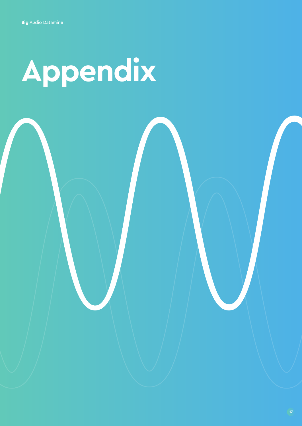# **Appendix**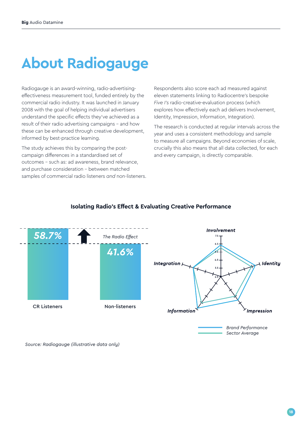# **About Radiogauge**

Radiogauge is an award-winning, radio-advertisingeffectiveness measurement tool, funded entirely by the commercial radio industry. It was launched in January 2008 with the goal of helping individual advertisers understand the specific effects they've achieved as a result of their radio advertising campaigns – and how these can be enhanced through creative development, informed by best-practice learning.

The study achieves this by comparing the postcampaign differences in a standardised set of outcomes - such as: ad awareness, brand relevance, and purchase consideration – between matched samples of commercial radio listeners *and* non-listeners. Respondents also score each ad measured against eleven statements linking to Radiocentre's bespoke *Five I's* radio-creative-evaluation process (which explores how effectively each ad delivers Involvement, Identity, Impression, Information, Integration).

The research is conducted at regular intervals across the year and uses a consistent methodology and sample to measure all campaigns. Beyond economies of scale, crucially this also means that all data collected, for each and every campaign, is directly comparable.



#### **Isolating Radio's Effect & Evaluating Creative Performance**

*Source: Radiogauge (illustrative data only)*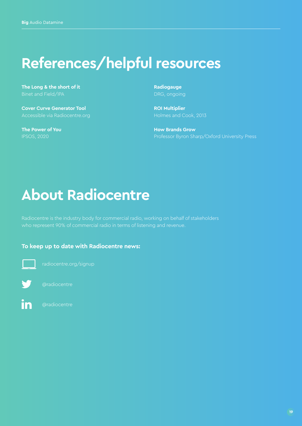## **References/helpful resources**

**The Long & the short of it** Binet and Field/IPA

**Cover Curve Generator Tool** Accessible via Radiocentre.org

**The Power of You**

**Radiogauge** DRG, ongoing

**ROI Multiplier** Holmes and Cook, 2013

**How Brands Grow** Professor Byron Sharp/Oxford University Press

### **About Radiocentre**

Radiocentre is the industry body for commercial radio, working on behalf of stakeholders who represent 90% of commercial radio in terms of listening and revenue.

#### **To keep up to date with Radiocentre news:**



radiocentre.org/signup



@radiocentre

in @radiocentre

**19**